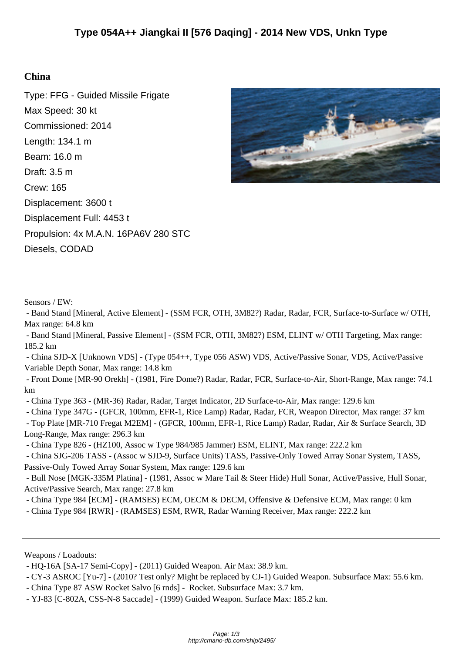## **China**

Type: FFG - Guided Missile Frigate Max Speed: 30 kt Commissioned: 2014 Length: 134.1 m Beam: 16.0 m Draft: 3.5 m Crew: 165 Displacement: 3600 t Displacement Full: 4453 t Propulsion: 4x M.A.N. 16PA6V 280 STC Diesels, CODAD



Sensors / EW:

 - Band Stand [Mineral, Active Element] - (SSM FCR, OTH, 3M82?) Radar, Radar, FCR, Surface-to-Surface w/ OTH, Max range: 64.8 km

 - Band Stand [Mineral, Passive Element] - (SSM FCR, OTH, 3M82?) ESM, ELINT w/ OTH Targeting, Max range: 185.2 km

 - China SJD-X [Unknown VDS] - (Type 054++, Type 056 ASW) VDS, Active/Passive Sonar, VDS, Active/Passive Variable Depth Sonar, Max range: 14.8 km

 - Front Dome [MR-90 Orekh] - (1981, Fire Dome?) Radar, Radar, FCR, Surface-to-Air, Short-Range, Max range: 74.1 km

- China Type 363 - (MR-36) Radar, Radar, Target Indicator, 2D Surface-to-Air, Max range: 129.6 km

- China Type 347G - (GFCR, 100mm, EFR-1, Rice Lamp) Radar, Radar, FCR, Weapon Director, Max range: 37 km

 - Top Plate [MR-710 Fregat M2EM] - (GFCR, 100mm, EFR-1, Rice Lamp) Radar, Radar, Air & Surface Search, 3D Long-Range, Max range: 296.3 km

- China Type 826 - (HZ100, Assoc w Type 984/985 Jammer) ESM, ELINT, Max range: 222.2 km

 - China SJG-206 TASS - (Assoc w SJD-9, Surface Units) TASS, Passive-Only Towed Array Sonar System, TASS, Passive-Only Towed Array Sonar System, Max range: 129.6 km

 - Bull Nose [MGK-335M Platina] - (1981, Assoc w Mare Tail & Steer Hide) Hull Sonar, Active/Passive, Hull Sonar, Active/Passive Search, Max range: 27.8 km

- China Type 984 [ECM] - (RAMSES) ECM, OECM & DECM, Offensive & Defensive ECM, Max range: 0 km

- China Type 984 [RWR] - (RAMSES) ESM, RWR, Radar Warning Receiver, Max range: 222.2 km

Weapons / Loadouts:

- China Type 87 ASW Rocket Salvo [6 rnds] - Rocket. Subsurface Max: 3.7 km.

 <sup>-</sup> HQ-16A [SA-17 Semi-Copy] - (2011) Guided Weapon. Air Max: 38.9 km.

 <sup>-</sup> CY-3 ASROC [Yu-7] - (2010? Test only? Might be replaced by CJ-1) Guided Weapon. Subsurface Max: 55.6 km.

 <sup>-</sup> YJ-83 [C-802A, CSS-N-8 Saccade] - (1999) Guided Weapon. Surface Max: 185.2 km.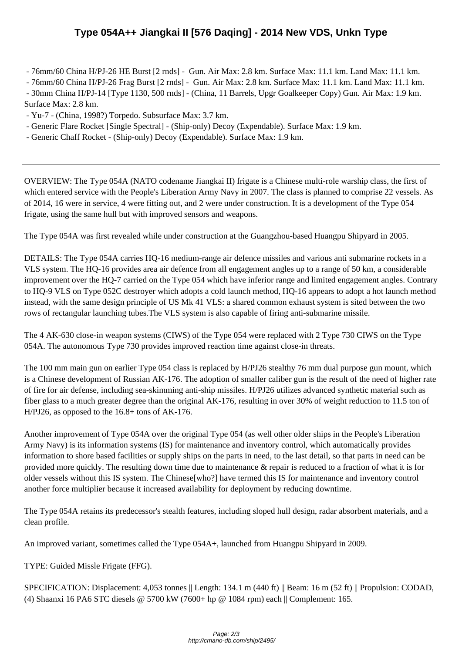- 76mm/60 C[hina H/PJ-26 HE Burst \[2 rnds\] - Gun. Air Max: 2.8 km. Surface Max: 11.1 km. Land Max:](http://cmano-db.com/ship/2495/) 11.1 km.

- 76mm/60 China H/PJ-26 Frag Burst [2 rnds] - Gun. Air Max: 2.8 km. Surface Max: 11.1 km. Land Max: 11.1 km.

 - 30mm China H/PJ-14 [Type 1130, 500 rnds] - (China, 11 Barrels, Upgr Goalkeeper Copy) Gun. Air Max: 1.9 km. Surface Max: 2.8 km.

- Yu-7 - (China, 1998?) Torpedo. Subsurface Max: 3.7 km.

- Generic Flare Rocket [Single Spectral] - (Ship-only) Decoy (Expendable). Surface Max: 1.9 km.

- Generic Chaff Rocket - (Ship-only) Decoy (Expendable). Surface Max: 1.9 km.

OVERVIEW: The Type 054A (NATO codename Jiangkai II) frigate is a Chinese multi-role warship class, the first of which entered service with the People's Liberation Army Navy in 2007. The class is planned to comprise 22 vessels. As of 2014, 16 were in service, 4 were fitting out, and 2 were under construction. It is a development of the Type 054 frigate, using the same hull but with improved sensors and weapons.

The Type 054A was first revealed while under construction at the Guangzhou-based Huangpu Shipyard in 2005.

DETAILS: The Type 054A carries HQ-16 medium-range air defence missiles and various anti submarine rockets in a VLS system. The HQ-16 provides area air defence from all engagement angles up to a range of 50 km, a considerable improvement over the HQ-7 carried on the Type 054 which have inferior range and limited engagement angles. Contrary to HQ-9 VLS on Type 052C destroyer which adopts a cold launch method, HQ-16 appears to adopt a hot launch method instead, with the same design principle of US Mk 41 VLS: a shared common exhaust system is sited between the two rows of rectangular launching tubes.The VLS system is also capable of firing anti-submarine missile.

The 4 AK-630 close-in weapon systems (CIWS) of the Type 054 were replaced with 2 Type 730 CIWS on the Type 054A. The autonomous Type 730 provides improved reaction time against close-in threats.

The 100 mm main gun on earlier Type 054 class is replaced by H/PJ26 stealthy 76 mm dual purpose gun mount, which is a Chinese development of Russian AK-176. The adoption of smaller caliber gun is the result of the need of higher rate of fire for air defense, including sea-skimming anti-ship missiles. H/PJ26 utilizes advanced synthetic material such as fiber glass to a much greater degree than the original AK-176, resulting in over 30% of weight reduction to 11.5 ton of H/PJ26, as opposed to the 16.8+ tons of AK-176.

Another improvement of Type 054A over the original Type 054 (as well other older ships in the People's Liberation Army Navy) is its information systems (IS) for maintenance and inventory control, which automatically provides information to shore based facilities or supply ships on the parts in need, to the last detail, so that parts in need can be provided more quickly. The resulting down time due to maintenance & repair is reduced to a fraction of what it is for older vessels without this IS system. The Chinese[who?] have termed this IS for maintenance and inventory control another force multiplier because it increased availability for deployment by reducing downtime.

The Type 054A retains its predecessor's stealth features, including sloped hull design, radar absorbent materials, and a clean profile.

An improved variant, sometimes called the Type 054A+, launched from Huangpu Shipyard in 2009.

TYPE: Guided Missle Frigate (FFG).

SPECIFICATION: Displacement: 4,053 tonnes || Length: 134.1 m (440 ft) || Beam: 16 m (52 ft) || Propulsion: CODAD, (4) Shaanxi 16 PA6 STC diesels @ 5700 kW (7600+ hp @ 1084 rpm) each || Complement: 165.